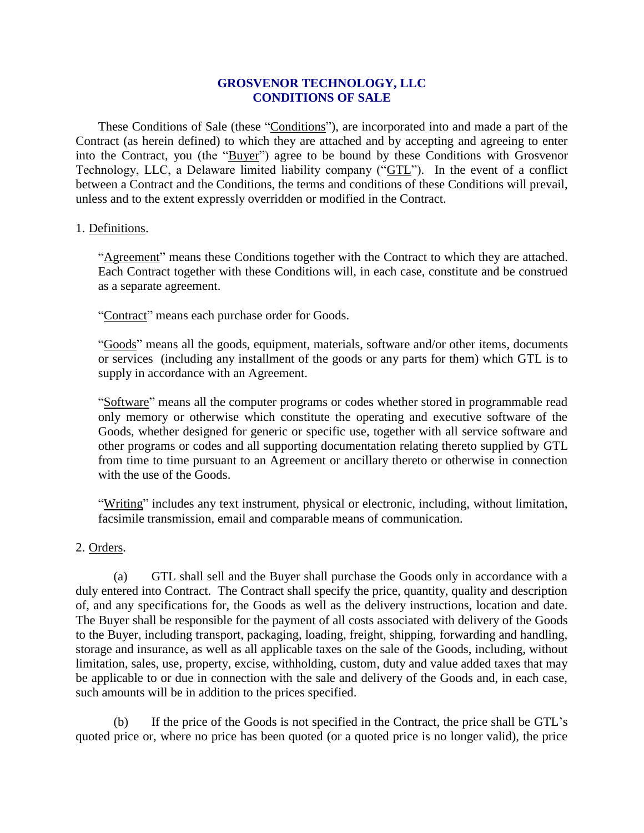### **GROSVENOR TECHNOLOGY, LLC CONDITIONS OF SALE**

These Conditions of Sale (these "Conditions"), are incorporated into and made a part of the Contract (as herein defined) to which they are attached and by accepting and agreeing to enter into the Contract, you (the "Buyer") agree to be bound by these Conditions with Grosvenor Technology, LLC, a Delaware limited liability company ("GTL"). In the event of a conflict between a Contract and the Conditions, the terms and conditions of these Conditions will prevail, unless and to the extent expressly overridden or modified in the Contract.

### 1. Definitions.

"Agreement" means these Conditions together with the Contract to which they are attached. Each Contract together with these Conditions will, in each case, constitute and be construed as a separate agreement.

"Contract" means each purchase order for Goods.

"Goods" means all the goods, equipment, materials, software and/or other items, documents or services (including any installment of the goods or any parts for them) which GTL is to supply in accordance with an Agreement.

"Software" means all the computer programs or codes whether stored in programmable read only memory or otherwise which constitute the operating and executive software of the Goods, whether designed for generic or specific use, together with all service software and other programs or codes and all supporting documentation relating thereto supplied by GTL from time to time pursuant to an Agreement or ancillary thereto or otherwise in connection with the use of the Goods.

"Writing" includes any text instrument, physical or electronic, including, without limitation, facsimile transmission, email and comparable means of communication.

### 2. Orders.

(a) GTL shall sell and the Buyer shall purchase the Goods only in accordance with a duly entered into Contract. The Contract shall specify the price, quantity, quality and description of, and any specifications for, the Goods as well as the delivery instructions, location and date. The Buyer shall be responsible for the payment of all costs associated with delivery of the Goods to the Buyer, including transport, packaging, loading, freight, shipping, forwarding and handling, storage and insurance, as well as all applicable taxes on the sale of the Goods, including, without limitation, sales, use, property, excise, withholding, custom, duty and value added taxes that may be applicable to or due in connection with the sale and delivery of the Goods and, in each case, such amounts will be in addition to the prices specified.

(b) If the price of the Goods is not specified in the Contract, the price shall be GTL's quoted price or, where no price has been quoted (or a quoted price is no longer valid), the price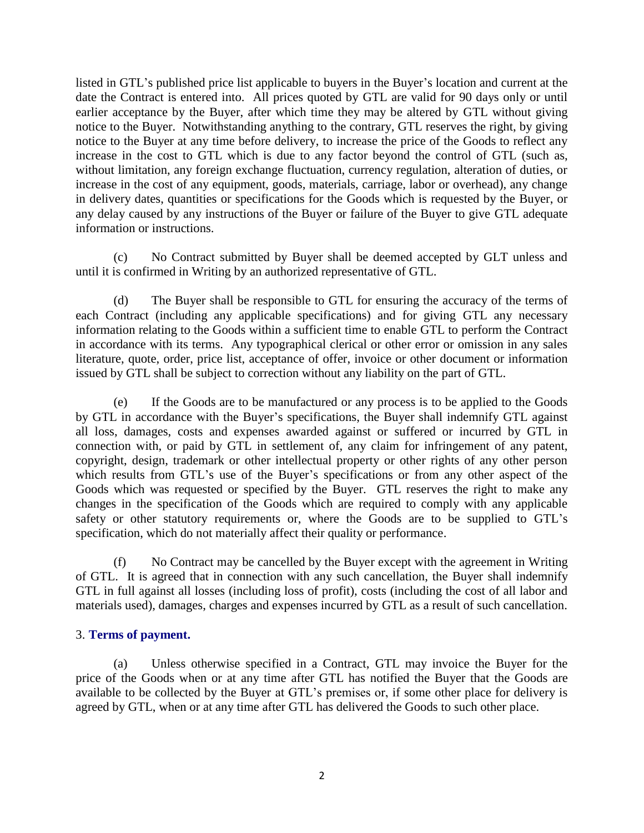listed in GTL's published price list applicable to buyers in the Buyer's location and current at the date the Contract is entered into. All prices quoted by GTL are valid for 90 days only or until earlier acceptance by the Buyer, after which time they may be altered by GTL without giving notice to the Buyer. Notwithstanding anything to the contrary, GTL reserves the right, by giving notice to the Buyer at any time before delivery, to increase the price of the Goods to reflect any increase in the cost to GTL which is due to any factor beyond the control of GTL (such as, without limitation, any foreign exchange fluctuation, currency regulation, alteration of duties, or increase in the cost of any equipment, goods, materials, carriage, labor or overhead), any change in delivery dates, quantities or specifications for the Goods which is requested by the Buyer, or any delay caused by any instructions of the Buyer or failure of the Buyer to give GTL adequate information or instructions.

(c) No Contract submitted by Buyer shall be deemed accepted by GLT unless and until it is confirmed in Writing by an authorized representative of GTL.

(d) The Buyer shall be responsible to GTL for ensuring the accuracy of the terms of each Contract (including any applicable specifications) and for giving GTL any necessary information relating to the Goods within a sufficient time to enable GTL to perform the Contract in accordance with its terms. Any typographical clerical or other error or omission in any sales literature, quote, order, price list, acceptance of offer, invoice or other document or information issued by GTL shall be subject to correction without any liability on the part of GTL.

(e) If the Goods are to be manufactured or any process is to be applied to the Goods by GTL in accordance with the Buyer's specifications, the Buyer shall indemnify GTL against all loss, damages, costs and expenses awarded against or suffered or incurred by GTL in connection with, or paid by GTL in settlement of, any claim for infringement of any patent, copyright, design, trademark or other intellectual property or other rights of any other person which results from GTL's use of the Buyer's specifications or from any other aspect of the Goods which was requested or specified by the Buyer. GTL reserves the right to make any changes in the specification of the Goods which are required to comply with any applicable safety or other statutory requirements or, where the Goods are to be supplied to GTL's specification, which do not materially affect their quality or performance.

(f) No Contract may be cancelled by the Buyer except with the agreement in Writing of GTL. It is agreed that in connection with any such cancellation, the Buyer shall indemnify GTL in full against all losses (including loss of profit), costs (including the cost of all labor and materials used), damages, charges and expenses incurred by GTL as a result of such cancellation.

### 3. **Terms of payment.**

(a) Unless otherwise specified in a Contract, GTL may invoice the Buyer for the price of the Goods when or at any time after GTL has notified the Buyer that the Goods are available to be collected by the Buyer at GTL's premises or, if some other place for delivery is agreed by GTL, when or at any time after GTL has delivered the Goods to such other place.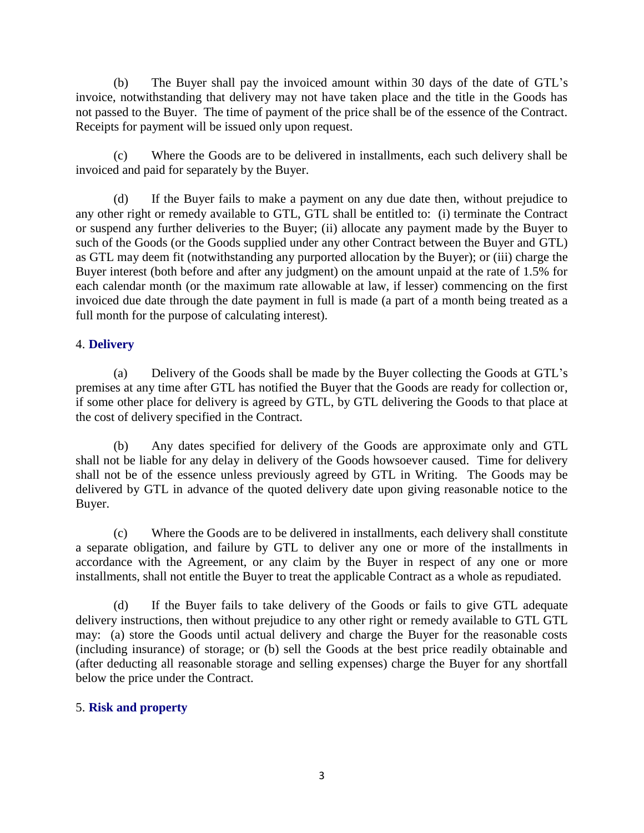(b) The Buyer shall pay the invoiced amount within 30 days of the date of GTL's invoice, notwithstanding that delivery may not have taken place and the title in the Goods has not passed to the Buyer. The time of payment of the price shall be of the essence of the Contract. Receipts for payment will be issued only upon request.

(c) Where the Goods are to be delivered in installments, each such delivery shall be invoiced and paid for separately by the Buyer.

(d) If the Buyer fails to make a payment on any due date then, without prejudice to any other right or remedy available to GTL, GTL shall be entitled to: (i) terminate the Contract or suspend any further deliveries to the Buyer; (ii) allocate any payment made by the Buyer to such of the Goods (or the Goods supplied under any other Contract between the Buyer and GTL) as GTL may deem fit (notwithstanding any purported allocation by the Buyer); or (iii) charge the Buyer interest (both before and after any judgment) on the amount unpaid at the rate of 1.5% for each calendar month (or the maximum rate allowable at law, if lesser) commencing on the first invoiced due date through the date payment in full is made (a part of a month being treated as a full month for the purpose of calculating interest).

# 4. **Delivery**

(a) Delivery of the Goods shall be made by the Buyer collecting the Goods at GTL's premises at any time after GTL has notified the Buyer that the Goods are ready for collection or, if some other place for delivery is agreed by GTL, by GTL delivering the Goods to that place at the cost of delivery specified in the Contract.

(b) Any dates specified for delivery of the Goods are approximate only and GTL shall not be liable for any delay in delivery of the Goods howsoever caused. Time for delivery shall not be of the essence unless previously agreed by GTL in Writing. The Goods may be delivered by GTL in advance of the quoted delivery date upon giving reasonable notice to the Buyer.

(c) Where the Goods are to be delivered in installments, each delivery shall constitute a separate obligation, and failure by GTL to deliver any one or more of the installments in accordance with the Agreement, or any claim by the Buyer in respect of any one or more installments, shall not entitle the Buyer to treat the applicable Contract as a whole as repudiated.

(d) If the Buyer fails to take delivery of the Goods or fails to give GTL adequate delivery instructions, then without prejudice to any other right or remedy available to GTL GTL may: (a) store the Goods until actual delivery and charge the Buyer for the reasonable costs (including insurance) of storage; or (b) sell the Goods at the best price readily obtainable and (after deducting all reasonable storage and selling expenses) charge the Buyer for any shortfall below the price under the Contract.

# 5. **Risk and property**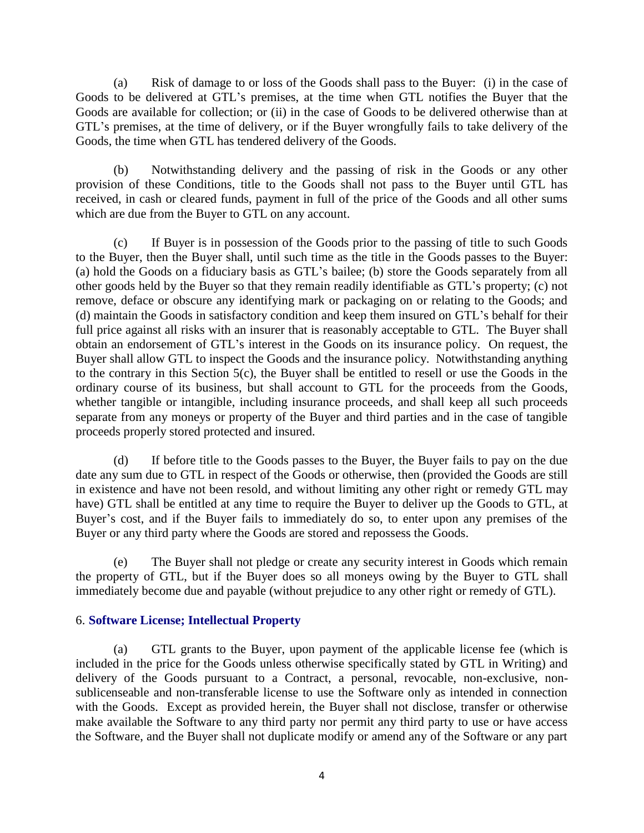(a) Risk of damage to or loss of the Goods shall pass to the Buyer: (i) in the case of Goods to be delivered at GTL's premises, at the time when GTL notifies the Buyer that the Goods are available for collection; or (ii) in the case of Goods to be delivered otherwise than at GTL's premises, at the time of delivery, or if the Buyer wrongfully fails to take delivery of the Goods, the time when GTL has tendered delivery of the Goods.

(b) Notwithstanding delivery and the passing of risk in the Goods or any other provision of these Conditions, title to the Goods shall not pass to the Buyer until GTL has received, in cash or cleared funds, payment in full of the price of the Goods and all other sums which are due from the Buyer to GTL on any account.

(c) If Buyer is in possession of the Goods prior to the passing of title to such Goods to the Buyer, then the Buyer shall, until such time as the title in the Goods passes to the Buyer: (a) hold the Goods on a fiduciary basis as GTL's bailee; (b) store the Goods separately from all other goods held by the Buyer so that they remain readily identifiable as GTL's property; (c) not remove, deface or obscure any identifying mark or packaging on or relating to the Goods; and (d) maintain the Goods in satisfactory condition and keep them insured on GTL's behalf for their full price against all risks with an insurer that is reasonably acceptable to GTL. The Buyer shall obtain an endorsement of GTL's interest in the Goods on its insurance policy. On request, the Buyer shall allow GTL to inspect the Goods and the insurance policy. Notwithstanding anything to the contrary in this Section 5(c), the Buyer shall be entitled to resell or use the Goods in the ordinary course of its business, but shall account to GTL for the proceeds from the Goods, whether tangible or intangible, including insurance proceeds, and shall keep all such proceeds separate from any moneys or property of the Buyer and third parties and in the case of tangible proceeds properly stored protected and insured.

(d) If before title to the Goods passes to the Buyer, the Buyer fails to pay on the due date any sum due to GTL in respect of the Goods or otherwise, then (provided the Goods are still in existence and have not been resold, and without limiting any other right or remedy GTL may have) GTL shall be entitled at any time to require the Buyer to deliver up the Goods to GTL, at Buyer's cost, and if the Buyer fails to immediately do so, to enter upon any premises of the Buyer or any third party where the Goods are stored and repossess the Goods.

(e) The Buyer shall not pledge or create any security interest in Goods which remain the property of GTL, but if the Buyer does so all moneys owing by the Buyer to GTL shall immediately become due and payable (without prejudice to any other right or remedy of GTL).

### 6. **Software License; Intellectual Property**

(a) GTL grants to the Buyer, upon payment of the applicable license fee (which is included in the price for the Goods unless otherwise specifically stated by GTL in Writing) and delivery of the Goods pursuant to a Contract, a personal, revocable, non-exclusive, nonsublicenseable and non-transferable license to use the Software only as intended in connection with the Goods. Except as provided herein, the Buyer shall not disclose, transfer or otherwise make available the Software to any third party nor permit any third party to use or have access the Software, and the Buyer shall not duplicate modify or amend any of the Software or any part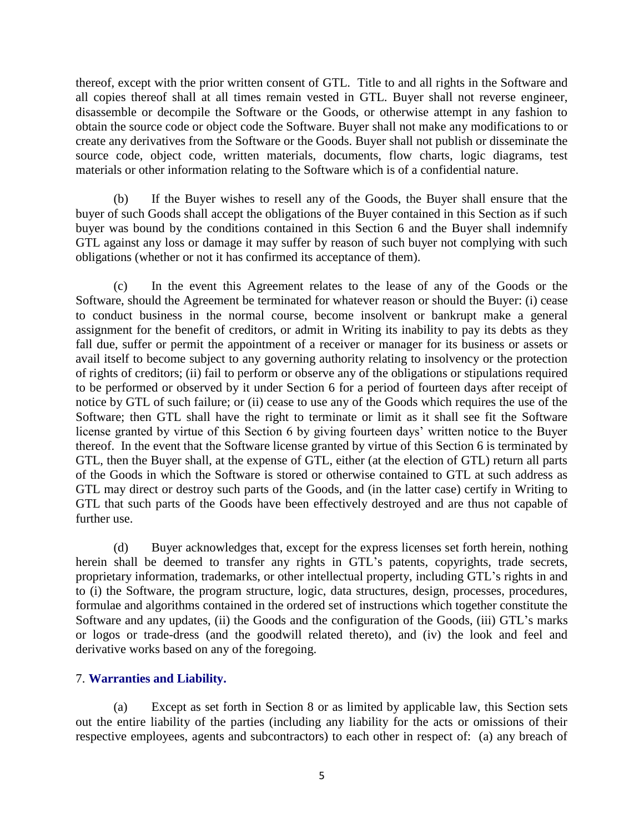thereof, except with the prior written consent of GTL. Title to and all rights in the Software and all copies thereof shall at all times remain vested in GTL. Buyer shall not reverse engineer, disassemble or decompile the Software or the Goods, or otherwise attempt in any fashion to obtain the source code or object code the Software. Buyer shall not make any modifications to or create any derivatives from the Software or the Goods. Buyer shall not publish or disseminate the source code, object code, written materials, documents, flow charts, logic diagrams, test materials or other information relating to the Software which is of a confidential nature.

(b) If the Buyer wishes to resell any of the Goods, the Buyer shall ensure that the buyer of such Goods shall accept the obligations of the Buyer contained in this Section as if such buyer was bound by the conditions contained in this Section 6 and the Buyer shall indemnify GTL against any loss or damage it may suffer by reason of such buyer not complying with such obligations (whether or not it has confirmed its acceptance of them).

(c) In the event this Agreement relates to the lease of any of the Goods or the Software, should the Agreement be terminated for whatever reason or should the Buyer: (i) cease to conduct business in the normal course, become insolvent or bankrupt make a general assignment for the benefit of creditors, or admit in Writing its inability to pay its debts as they fall due, suffer or permit the appointment of a receiver or manager for its business or assets or avail itself to become subject to any governing authority relating to insolvency or the protection of rights of creditors; (ii) fail to perform or observe any of the obligations or stipulations required to be performed or observed by it under Section 6 for a period of fourteen days after receipt of notice by GTL of such failure; or (ii) cease to use any of the Goods which requires the use of the Software; then GTL shall have the right to terminate or limit as it shall see fit the Software license granted by virtue of this Section 6 by giving fourteen days' written notice to the Buyer thereof. In the event that the Software license granted by virtue of this Section 6 is terminated by GTL, then the Buyer shall, at the expense of GTL, either (at the election of GTL) return all parts of the Goods in which the Software is stored or otherwise contained to GTL at such address as GTL may direct or destroy such parts of the Goods, and (in the latter case) certify in Writing to GTL that such parts of the Goods have been effectively destroyed and are thus not capable of further use.

(d) Buyer acknowledges that, except for the express licenses set forth herein, nothing herein shall be deemed to transfer any rights in GTL's patents, copyrights, trade secrets, proprietary information, trademarks, or other intellectual property, including GTL's rights in and to (i) the Software, the program structure, logic, data structures, design, processes, procedures, formulae and algorithms contained in the ordered set of instructions which together constitute the Software and any updates, (ii) the Goods and the configuration of the Goods, (iii) GTL's marks or logos or trade-dress (and the goodwill related thereto), and (iv) the look and feel and derivative works based on any of the foregoing.

### 7. **Warranties and Liability.**

(a) Except as set forth in Section 8 or as limited by applicable law, this Section sets out the entire liability of the parties (including any liability for the acts or omissions of their respective employees, agents and subcontractors) to each other in respect of: (a) any breach of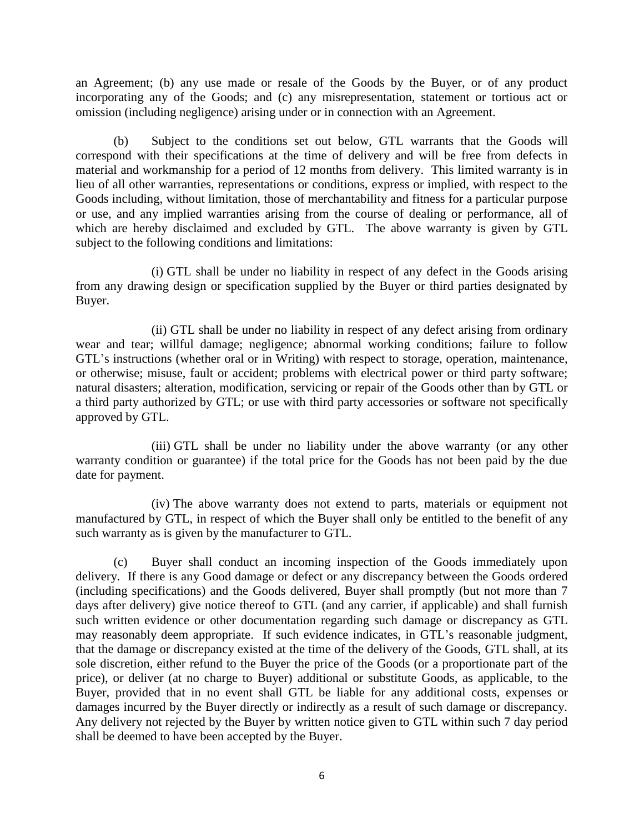an Agreement; (b) any use made or resale of the Goods by the Buyer, or of any product incorporating any of the Goods; and (c) any misrepresentation, statement or tortious act or omission (including negligence) arising under or in connection with an Agreement.

(b) Subject to the conditions set out below, GTL warrants that the Goods will correspond with their specifications at the time of delivery and will be free from defects in material and workmanship for a period of 12 months from delivery. This limited warranty is in lieu of all other warranties, representations or conditions, express or implied, with respect to the Goods including, without limitation, those of merchantability and fitness for a particular purpose or use, and any implied warranties arising from the course of dealing or performance, all of which are hereby disclaimed and excluded by GTL. The above warranty is given by GTL subject to the following conditions and limitations:

(i) GTL shall be under no liability in respect of any defect in the Goods arising from any drawing design or specification supplied by the Buyer or third parties designated by Buyer.

(ii) GTL shall be under no liability in respect of any defect arising from ordinary wear and tear; willful damage; negligence; abnormal working conditions; failure to follow GTL's instructions (whether oral or in Writing) with respect to storage, operation, maintenance, or otherwise; misuse, fault or accident; problems with electrical power or third party software; natural disasters; alteration, modification, servicing or repair of the Goods other than by GTL or a third party authorized by GTL; or use with third party accessories or software not specifically approved by GTL.

(iii) GTL shall be under no liability under the above warranty (or any other warranty condition or guarantee) if the total price for the Goods has not been paid by the due date for payment.

(iv) The above warranty does not extend to parts, materials or equipment not manufactured by GTL, in respect of which the Buyer shall only be entitled to the benefit of any such warranty as is given by the manufacturer to GTL.

(c) Buyer shall conduct an incoming inspection of the Goods immediately upon delivery. If there is any Good damage or defect or any discrepancy between the Goods ordered (including specifications) and the Goods delivered, Buyer shall promptly (but not more than 7 days after delivery) give notice thereof to GTL (and any carrier, if applicable) and shall furnish such written evidence or other documentation regarding such damage or discrepancy as GTL may reasonably deem appropriate. If such evidence indicates, in GTL's reasonable judgment, that the damage or discrepancy existed at the time of the delivery of the Goods, GTL shall, at its sole discretion, either refund to the Buyer the price of the Goods (or a proportionate part of the price), or deliver (at no charge to Buyer) additional or substitute Goods, as applicable, to the Buyer, provided that in no event shall GTL be liable for any additional costs, expenses or damages incurred by the Buyer directly or indirectly as a result of such damage or discrepancy. Any delivery not rejected by the Buyer by written notice given to GTL within such 7 day period shall be deemed to have been accepted by the Buyer.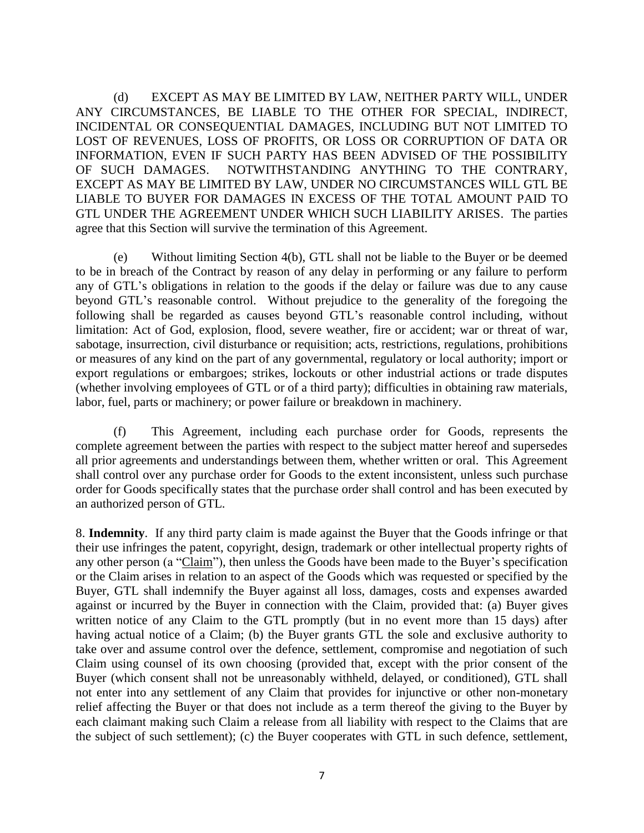(d) EXCEPT AS MAY BE LIMITED BY LAW, NEITHER PARTY WILL, UNDER ANY CIRCUMSTANCES, BE LIABLE TO THE OTHER FOR SPECIAL, INDIRECT, INCIDENTAL OR CONSEQUENTIAL DAMAGES, INCLUDING BUT NOT LIMITED TO LOST OF REVENUES, LOSS OF PROFITS, OR LOSS OR CORRUPTION OF DATA OR INFORMATION, EVEN IF SUCH PARTY HAS BEEN ADVISED OF THE POSSIBILITY OF SUCH DAMAGES. NOTWITHSTANDING ANYTHING TO THE CONTRARY, EXCEPT AS MAY BE LIMITED BY LAW, UNDER NO CIRCUMSTANCES WILL GTL BE LIABLE TO BUYER FOR DAMAGES IN EXCESS OF THE TOTAL AMOUNT PAID TO GTL UNDER THE AGREEMENT UNDER WHICH SUCH LIABILITY ARISES. The parties agree that this Section will survive the termination of this Agreement.

(e) Without limiting Section 4(b), GTL shall not be liable to the Buyer or be deemed to be in breach of the Contract by reason of any delay in performing or any failure to perform any of GTL's obligations in relation to the goods if the delay or failure was due to any cause beyond GTL's reasonable control. Without prejudice to the generality of the foregoing the following shall be regarded as causes beyond GTL's reasonable control including, without limitation: Act of God, explosion, flood, severe weather, fire or accident; war or threat of war, sabotage, insurrection, civil disturbance or requisition; acts, restrictions, regulations, prohibitions or measures of any kind on the part of any governmental, regulatory or local authority; import or export regulations or embargoes; strikes, lockouts or other industrial actions or trade disputes (whether involving employees of GTL or of a third party); difficulties in obtaining raw materials, labor, fuel, parts or machinery; or power failure or breakdown in machinery.

(f) This Agreement, including each purchase order for Goods, represents the complete agreement between the parties with respect to the subject matter hereof and supersedes all prior agreements and understandings between them, whether written or oral. This Agreement shall control over any purchase order for Goods to the extent inconsistent, unless such purchase order for Goods specifically states that the purchase order shall control and has been executed by an authorized person of GTL.

8. **Indemnity**. If any third party claim is made against the Buyer that the Goods infringe or that their use infringes the patent, copyright, design, trademark or other intellectual property rights of any other person (a "Claim"), then unless the Goods have been made to the Buyer's specification or the Claim arises in relation to an aspect of the Goods which was requested or specified by the Buyer, GTL shall indemnify the Buyer against all loss, damages, costs and expenses awarded against or incurred by the Buyer in connection with the Claim, provided that: (a) Buyer gives written notice of any Claim to the GTL promptly (but in no event more than 15 days) after having actual notice of a Claim; (b) the Buyer grants GTL the sole and exclusive authority to take over and assume control over the defence, settlement, compromise and negotiation of such Claim using counsel of its own choosing (provided that, except with the prior consent of the Buyer (which consent shall not be unreasonably withheld, delayed, or conditioned), GTL shall not enter into any settlement of any Claim that provides for injunctive or other non-monetary relief affecting the Buyer or that does not include as a term thereof the giving to the Buyer by each claimant making such Claim a release from all liability with respect to the Claims that are the subject of such settlement); (c) the Buyer cooperates with GTL in such defence, settlement,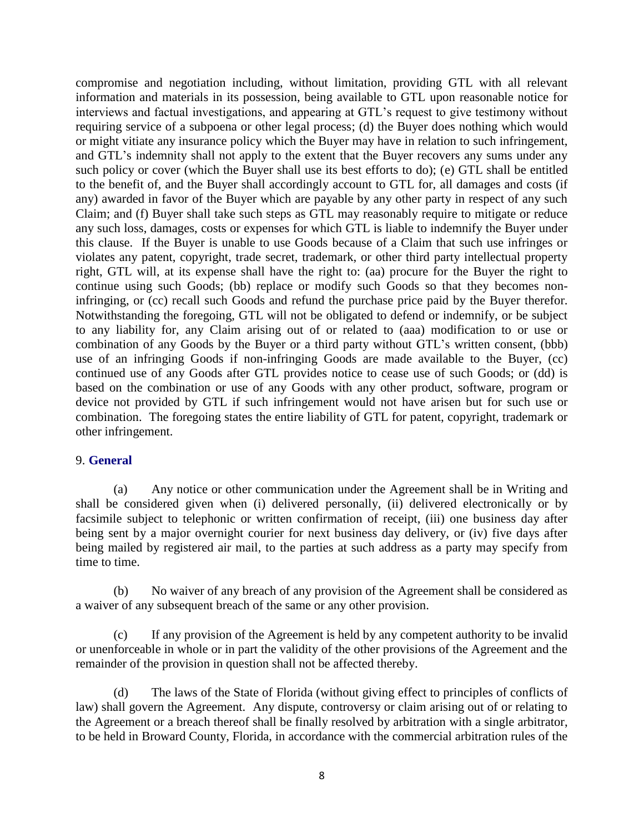compromise and negotiation including, without limitation, providing GTL with all relevant information and materials in its possession, being available to GTL upon reasonable notice for interviews and factual investigations, and appearing at GTL's request to give testimony without requiring service of a subpoena or other legal process; (d) the Buyer does nothing which would or might vitiate any insurance policy which the Buyer may have in relation to such infringement, and GTL's indemnity shall not apply to the extent that the Buyer recovers any sums under any such policy or cover (which the Buyer shall use its best efforts to do); (e) GTL shall be entitled to the benefit of, and the Buyer shall accordingly account to GTL for, all damages and costs (if any) awarded in favor of the Buyer which are payable by any other party in respect of any such Claim; and (f) Buyer shall take such steps as GTL may reasonably require to mitigate or reduce any such loss, damages, costs or expenses for which GTL is liable to indemnify the Buyer under this clause. If the Buyer is unable to use Goods because of a Claim that such use infringes or violates any patent, copyright, trade secret, trademark, or other third party intellectual property right, GTL will, at its expense shall have the right to: (aa) procure for the Buyer the right to continue using such Goods; (bb) replace or modify such Goods so that they becomes noninfringing, or (cc) recall such Goods and refund the purchase price paid by the Buyer therefor. Notwithstanding the foregoing, GTL will not be obligated to defend or indemnify, or be subject to any liability for, any Claim arising out of or related to (aaa) modification to or use or combination of any Goods by the Buyer or a third party without GTL's written consent, (bbb) use of an infringing Goods if non-infringing Goods are made available to the Buyer, (cc) continued use of any Goods after GTL provides notice to cease use of such Goods; or (dd) is based on the combination or use of any Goods with any other product, software, program or device not provided by GTL if such infringement would not have arisen but for such use or combination. The foregoing states the entire liability of GTL for patent, copyright, trademark or other infringement.

#### 9. **General**

(a) Any notice or other communication under the Agreement shall be in Writing and shall be considered given when (i) delivered personally, (ii) delivered electronically or by facsimile subject to telephonic or written confirmation of receipt, (iii) one business day after being sent by a major overnight courier for next business day delivery, or (iv) five days after being mailed by registered air mail, to the parties at such address as a party may specify from time to time.

(b) No waiver of any breach of any provision of the Agreement shall be considered as a waiver of any subsequent breach of the same or any other provision.

(c) If any provision of the Agreement is held by any competent authority to be invalid or unenforceable in whole or in part the validity of the other provisions of the Agreement and the remainder of the provision in question shall not be affected thereby.

(d) The laws of the State of Florida (without giving effect to principles of conflicts of law) shall govern the Agreement. Any dispute, controversy or claim arising out of or relating to the Agreement or a breach thereof shall be finally resolved by arbitration with a single arbitrator, to be held in Broward County, Florida, in accordance with the commercial arbitration rules of the